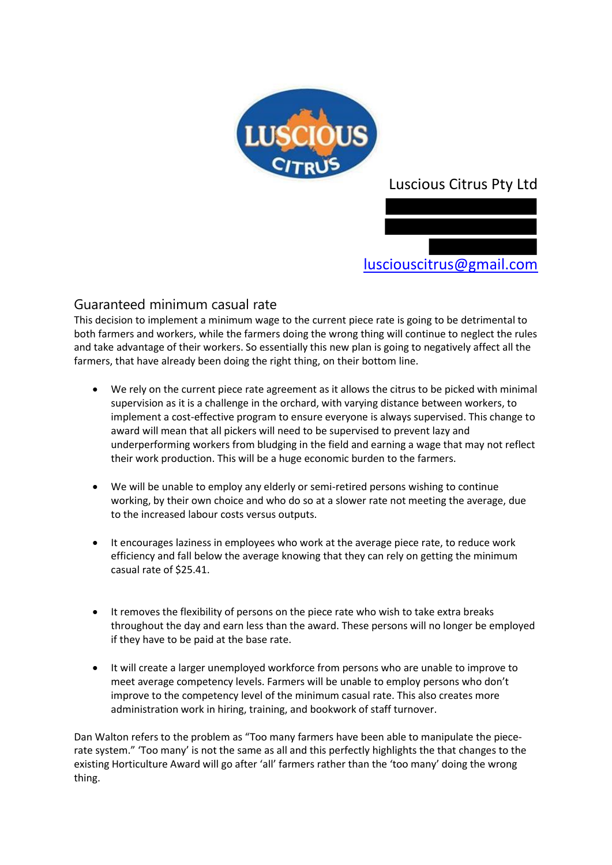

## Luscious Citrus Pty Ltd



lusciouscitrus@gmail.com

## Guaranteed minimum casual rate

This decision to implement a minimum wage to the current piece rate is going to be detrimental to both farmers and workers, while the farmers doing the wrong thing will continue to neglect the rules and take advantage of their workers. So essentially this new plan is going to negatively affect all the farmers, that have already been doing the right thing, on their bottom line.

- We rely on the current piece rate agreement as it allows the citrus to be picked with minimal supervision as it is a challenge in the orchard, with varying distance between workers, to implement a cost-effective program to ensure everyone is always supervised. This change to award will mean that all pickers will need to be supervised to prevent lazy and underperforming workers from bludging in the field and earning a wage that may not reflect their work production. This will be a huge economic burden to the farmers.
- We will be unable to employ any elderly or semi-retired persons wishing to continue working, by their own choice and who do so at a slower rate not meeting the average, due to the increased labour costs versus outputs.
- It encourages laziness in employees who work at the average piece rate, to reduce work efficiency and fall below the average knowing that they can rely on getting the minimum casual rate of \$25.41.
- It removes the flexibility of persons on the piece rate who wish to take extra breaks throughout the day and earn less than the award. These persons will no longer be employed if they have to be paid at the base rate.
- It will create a larger unemployed workforce from persons who are unable to improve to meet average competency levels. Farmers will be unable to employ persons who don't improve to the competency level of the minimum casual rate. This also creates more administration work in hiring, training, and bookwork of staff turnover.

Dan Walton refers to the problem as "Too many farmers have been able to manipulate the piecerate system." 'Too many' is not the same as all and this perfectly highlights the that changes to the existing Horticulture Award will go after 'all' farmers rather than the 'too many' doing the wrong thing.